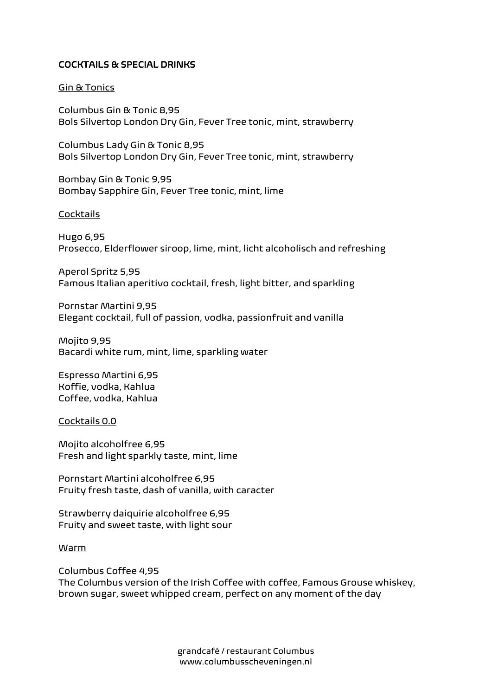# COCKTAILS & SPECIAL DRINKS

#### Gin & Tonics

Columbus Gin & Tonic 8,95 Bols Silvertop London Dry Gin, Fever Tree tonic, mint, strawberry

Columbus Lady Gin & Tonic 8,95 Bols Silvertop London Dry Gin, Fever Tree tonic, mint, strawberry

Bombay Gin & Tonic 9,95 Bombay Sapphire Gin, Fever Tree tonic, mint, lime

#### **Cocktails**

Hugo 6,95 Prosecco, Elderflower siroop, lime, mint, licht alcoholisch and refreshing

Aperol Spritz 5,95 Famous Italian aperitivo cocktail, fresh, light bitter, and sparkling

Pornstar Martini 9,95 Elegant cocktail, full of passion, vodka, passionfruit and vanilla

Mojito 9,95 Bacardi white rum, mint, lime, sparkling water

Espresso Martini 6,95 Koffie, vodka, Kahlua Coffee, vodka, Kahlua

Cocktails 0.0

Mojito alcoholfree 6,95 Fresh and light sparkly taste, mint, lime

Pornstart Martini alcoholfree 6,95 Fruity fresh taste, dash of vanilla, with caracter

Strawberry daiquirie alcoholfree 6,95 Fruity and sweet taste, with light sour

#### Warm

Columbus Coffee 4,95 The Columbus version of the Irish Coffee with coffee, Famous Grouse whiskey, brown sugar, sweet whipped cream, perfect on any moment of the day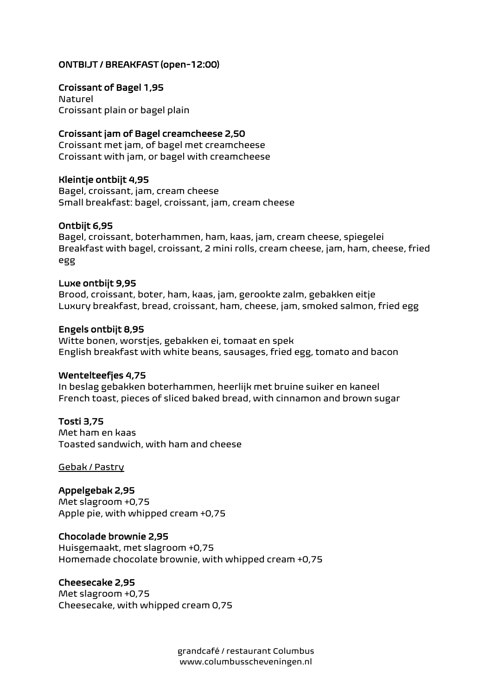# ONTBIJT / BREAKFAST (open-12:00)

Croissant of Bagel 1,95 Naturel Croissant plain or bagel plain

## Croissant jam of Bagel creamcheese 2,50

Croissant met jam, of bagel met creamcheese Croissant with jam, or bagel with creamcheese

#### Kleintje ontbijt 4,95

Bagel, croissant, jam, cream cheese Small breakfast: bagel, croissant, jam, cream cheese

## Ontbijt 6,95

Bagel, croissant, boterhammen, ham, kaas, jam, cream cheese, spiegelei Breakfast with bagel, croissant, 2 mini rolls, cream cheese, jam, ham, cheese, fried egg

#### Luxe ontbijt 9,95

Brood, croissant, boter, ham, kaas, jam, gerookte zalm, gebakken eitje Luxury breakfast, bread, croissant, ham, cheese, jam, smoked salmon, fried egg

#### Engels ontbijt 8,95

Witte bonen, worstjes, gebakken ei, tomaat en spek English breakfast with white beans, sausages, fried egg, tomato and bacon

#### Wentelteefjes 4,75

In beslag gebakken boterhammen, heerlijk met bruine suiker en kaneel French toast, pieces of sliced baked bread, with cinnamon and brown sugar

## Tosti 3,75

Met ham en kaas Toasted sandwich, with ham and cheese

Gebak / Pastry

# Appelgebak 2,95

Met slagroom +0,75 Apple pie, with whipped cream +0,75

#### Chocolade brownie 2,95

Huisgemaakt, met slagroom +0,75 Homemade chocolate brownie, with whipped cream +0,75

#### Cheesecake 2,95

Met slagroom +0,75 Cheesecake, with whipped cream 0,75

> grandcafé / restaurant Columbus www.columbusscheveningen.nl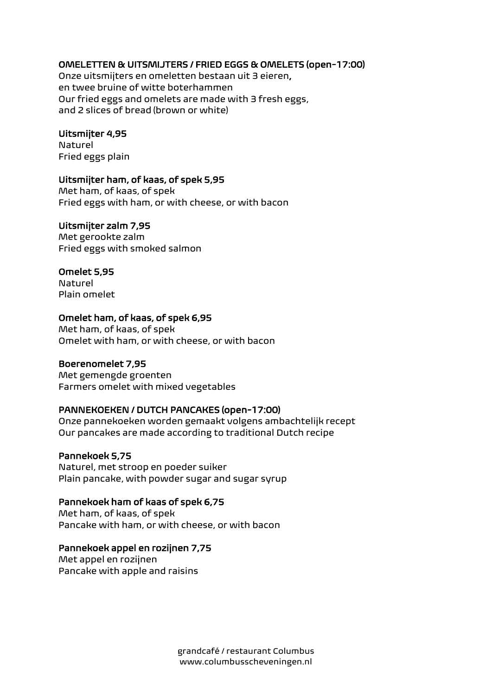# OMELETTEN & UITSMIJTERS / FRIED EGGS & OMELETS (open-17:00)

Onze uitsmijters en omeletten bestaan uit 3 eieren, en twee bruine of witte boterhammen Our fried eggs and omelets are made with 3 fresh eggs, and 2 slices of bread (brown or white)

## Uitsmijter 4,95

Naturel Fried eggs plain

# Uitsmijter ham, of kaas, of spek 5,95

Met ham, of kaas, of spek Fried eggs with ham, or with cheese, or with bacon

## Uitsmijter zalm 7,95

Met gerookte zalm Fried eggs with smoked salmon

# Omelet 5,95

Naturel Plain omelet

## Omelet ham, of kaas, of spek 6,95

Met ham, of kaas, of spek Omelet with ham, or with cheese, or with bacon

#### Boerenomelet 7,95

Met gemengde groenten Farmers omelet with mixed vegetables

# PANNEKOEKEN / DUTCH PANCAKES (open-17:00)

Onze pannekoeken worden gemaakt volgens ambachtelijk recept Our pancakes are made according to traditional Dutch recipe

#### Pannekoek 5,75

Naturel, met stroop en poeder suiker Plain pancake, with powder sugar and sugar syrup

# Pannekoek ham of kaas of spek 6,75

Met ham, of kaas, of spek Pancake with ham, or with cheese, or with bacon

## Pannekoek appel en rozijnen 7,75

Met appel en rozijnen Pancake with apple and raisins

> grandcafé / restaurant Columbus www.columbusscheveningen.nl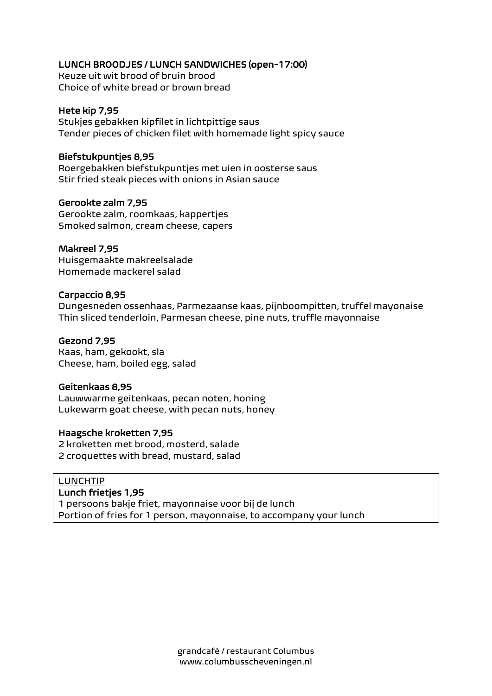# LUNCH BROODJES / LUNCH SANDWICHES (open-17:00)

Keuze uit wit brood of bruin brood Choice of white bread or brown bread

# Hete kip 7,95

Stukjes gebakken kipfilet in lichtpittige saus Tender pieces of chicken filet with homemade light spicy sauce

# Biefstukpuntjes 8,95

Roergebakken biefstukpuntjes met uien in oosterse saus Stir fried steak pieces with onions in Asian sauce

# Gerookte zalm 7,95

Gerookte zalm, roomkaas, kappertjes Smoked salmon, cream cheese, capers

# Makreel 7,95

Huisgemaakte makreelsalade Homemade mackerel salad

# Carpaccio 8,95

Dungesneden ossenhaas, Parmezaanse kaas, pijnboompitten, truffel mayonaise Thin sliced tenderloin, Parmesan cheese, pine nuts, truffle mayonnaise

# Gezond 7,95

Kaas, ham, gekookt, sla Cheese, ham, boiled egg, salad

# Geitenkaas 8,95

Lauwwarme geitenkaas, pecan noten, honing Lukewarm goat cheese, with pecan nuts, honey

# Haagsche kroketten 7,95

2 kroketten met brood, mosterd, salade 2 croquettes with bread, mustard, salad

# LUNCHTIP

## Lunch frietjes 1,95

1 persoons bakje friet, mayonnaise voor bij de lunch Portion of fries for 1 person, mayonnaise, to accompany your lunch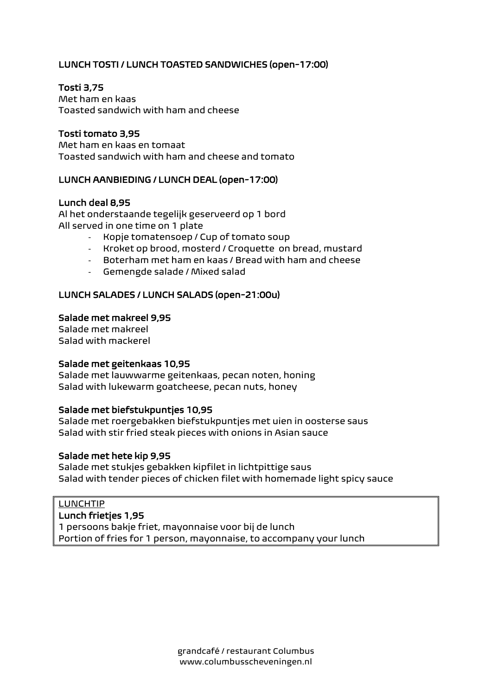# LUNCH TOSTI / LUNCH TOASTED SANDWICHES (open-17:00)

# Tosti 3,75

Met ham en kaas Toasted sandwich with ham and cheese

## Tosti tomato 3,95

Met ham en kaas en tomaat Toasted sandwich with ham and cheese and tomato

## LUNCH AANBIEDING / LUNCH DEAL (open-17:00)

#### Lunch deal 8,95

Al het onderstaande tegelijk geserveerd op 1 bord All served in one time on 1 plate

- Kopje tomatensoep / Cup of tomato soup
- Kroket op brood, mosterd / Croquette on bread, mustard
- Boterham met ham en kaas / Bread with ham and cheese
- Gemengde salade / Mixed salad

## LUNCH SALADES / LUNCH SALADS (open-21:00u)

#### Salade met makreel 9,95

Salade met makreel Salad with mackerel

#### Salade met geitenkaas 10,95

Salade met lauwwarme geitenkaas, pecan noten, honing Salad with lukewarm goatcheese, pecan nuts, honey

### Salade met biefstukpuntjes 10,95

Salade met roergebakken biefstukpuntjes met uien in oosterse saus Salad with stir fried steak pieces with onions in Asian sauce

#### Salade met hete kip 9,95

Salade met stukjes gebakken kipfilet in lichtpittige saus Salad with tender pieces of chicken filet with homemade light spicy sauce

#### LUNCHTIP

#### Lunch frietjes 1,95

1 persoons bakje friet, mayonnaise voor bij de lunch Portion of fries for 1 person, mayonnaise, to accompany your lunch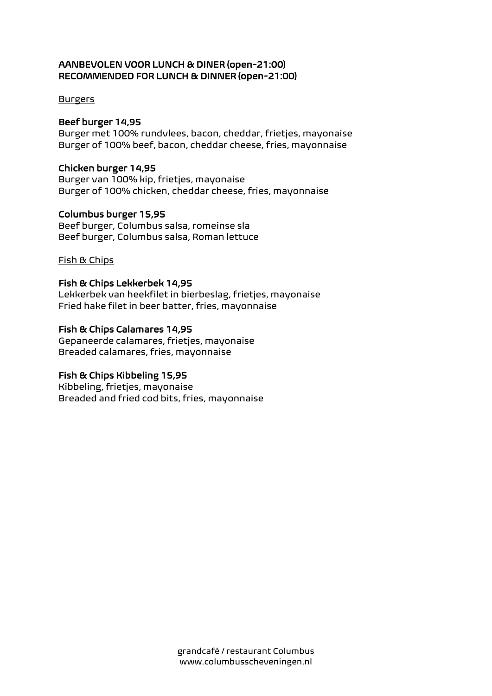# AANBEVOLEN VOOR LUNCH & DINER (open-21:00) RECOMMENDED FOR LUNCH & DINNER (open-21:00)

## Burgers

# Beef burger 14,95

Burger met 100% rundvlees, bacon, cheddar, frietjes, mayonaise Burger of 100% beef, bacon, cheddar cheese, fries, mayonnaise

# Chicken burger 14,95

Burger van 100% kip, frietjes, mayonaise Burger of 100% chicken, cheddar cheese, fries, mayonnaise

# Columbus burger 15,95

Beef burger, Columbus salsa, romeinse sla Beef burger, Columbus salsa, Roman lettuce

# Fish & Chips

# Fish & Chips Lekkerbek 14,95

Lekkerbek van heekfilet in bierbeslag, frietjes, mayonaise Fried hake filet in beer batter, fries, mayonnaise

# Fish & Chips Calamares 14,95

Gepaneerde calamares, frietjes, mayonaise Breaded calamares, fries, mayonnaise

# Fish & Chips Kibbeling 15,95

Kibbeling, frietjes, mayonaise Breaded and fried cod bits, fries, mayonnaise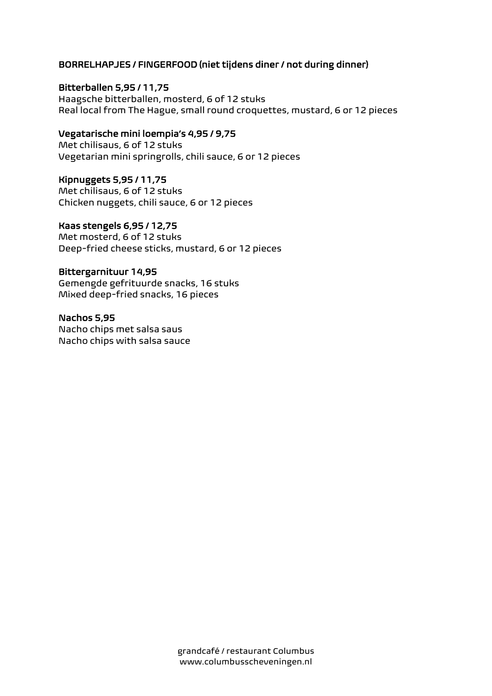# BORRELHAPJES / FINGERFOOD (niet tijdens diner / not during dinner)

## Bitterballen 5,95 / 11,75

Haagsche bitterballen, mosterd, 6 of 12 stuks Real local from The Hague, small round croquettes, mustard, 6 or 12 pieces

# Vegatarische mini loempia's 4,95 / 9,75

Met chilisaus, 6 of 12 stuks Vegetarian mini springrolls, chili sauce, 6 or 12 pieces

## Kipnuggets 5,95 / 11,75

Met chilisaus, 6 of 12 stuks Chicken nuggets, chili sauce, 6 or 12 pieces

## Kaas stengels 6,95 / 12,75

Met mosterd, 6 of 12 stuks Deep-fried cheese sticks, mustard, 6 or 12 pieces

## Bittergarnituur 14,95

Gemengde gefrituurde snacks, 16 stuks Mixed deep-fried snacks, 16 pieces

# Nachos 5,95

Nacho chips met salsa saus Nacho chips with salsa sauce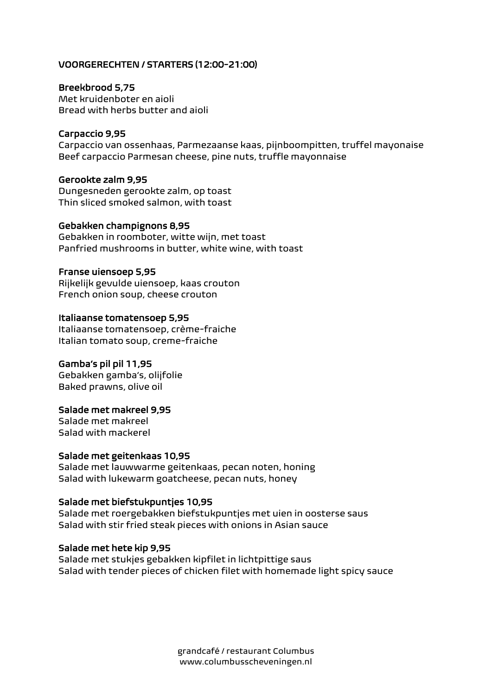# VOORGERECHTEN / STARTERS (12:00-21:00)

#### Breekbrood 5,75

Met kruidenboter en aioli Bread with herbs butter and aioli

## Carpaccio 9,95

Carpaccio van ossenhaas, Parmezaanse kaas, pijnboompitten, truffel mayonaise Beef carpaccio Parmesan cheese, pine nuts, truffle mayonnaise

## Gerookte zalm 9,95

Dungesneden gerookte zalm, op toast Thin sliced smoked salmon, with toast

#### Gebakken champignons 8,95

Gebakken in roomboter, witte wijn, met toast Panfried mushrooms in butter, white wine, with toast

#### Franse uiensoep 5,95

Rijkelijk gevulde uiensoep, kaas crouton French onion soup, cheese crouton

## Italiaanse tomatensoep 5,95

Italiaanse tomatensoep, crème-fraiche Italian tomato soup, creme-fraiche

# Gamba's pil pil 11,95

Gebakken gamba's, olijfolie Baked prawns, olive oil

#### Salade met makreel 9,95

Salade met makreel Salad with mackerel

#### Salade met geitenkaas 10,95

Salade met lauwwarme geitenkaas, pecan noten, honing Salad with lukewarm goatcheese, pecan nuts, honey

# Salade met biefstukpuntjes 10,95

Salade met roergebakken biefstukpuntjes met uien in oosterse saus Salad with stir fried steak pieces with onions in Asian sauce

#### Salade met hete kip 9,95

Salade met stukjes gebakken kipfilet in lichtpittige saus Salad with tender pieces of chicken filet with homemade light spicy sauce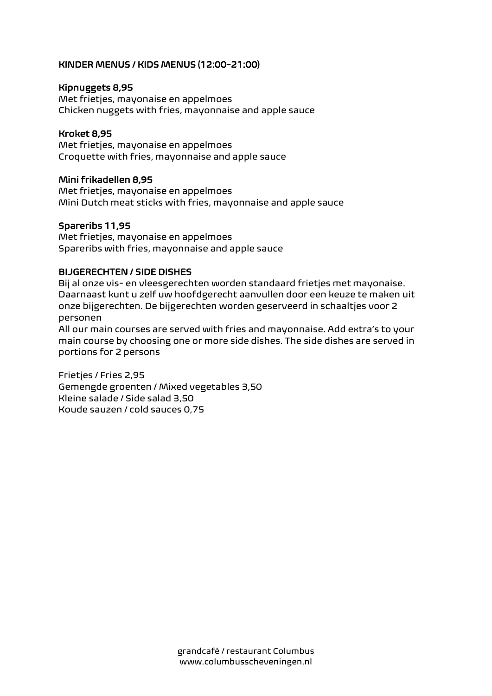# KINDER MENUS / KIDS MENUS (12:00-21:00)

## Kipnuggets 8,95

Met frietjes, mayonaise en appelmoes Chicken nuggets with fries, mayonnaise and apple sauce

## Kroket 8,95

Met frietjes, mayonaise en appelmoes Croquette with fries, mayonnaise and apple sauce

## Mini frikadellen 8,95

Met frietjes, mayonaise en appelmoes Mini Dutch meat sticks with fries, mayonnaise and apple sauce

## Spareribs 11,95

Met frietjes, mayonaise en appelmoes Spareribs with fries, mayonnaise and apple sauce

## BIJGERECHTEN / SIDE DISHES

Bij al onze vis- en vleesgerechten worden standaard frietjes met mayonaise. Daarnaast kunt u zelf uw hoofdgerecht aanvullen door een keuze te maken uit onze bijgerechten. De bijgerechten worden geserveerd in schaaltjes voor 2 personen

All our main courses are served with fries and mayonnaise. Add extra's to your main course by choosing one or more side dishes. The side dishes are served in portions for 2 persons

Frietjes / Fries 2,95 Gemengde groenten / Mixed vegetables 3,50 Kleine salade / Side salad 3,50 Koude sauzen / cold sauces 0,75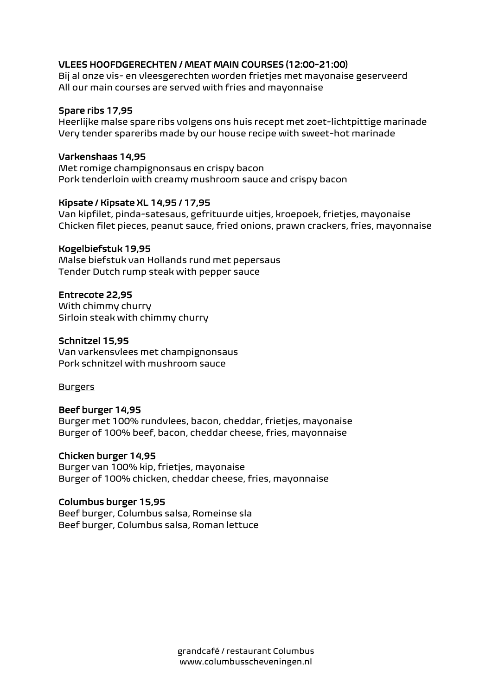# VLEES HOOFDGERECHTEN / MEAT MAIN COURSES (12:00-21:00)

Bij al onze vis- en vleesgerechten worden frietjes met mayonaise geserveerd All our main courses are served with fries and mayonnaise

# Spare ribs 17,95

Heerlijke malse spare ribs volgens ons huis recept met zoet-lichtpittige marinade Very tender spareribs made by our house recipe with sweet-hot marinade

## Varkenshaas 14,95

Met romige champignonsaus en crispy bacon Pork tenderloin with creamy mushroom sauce and crispy bacon

## Kipsate / Kipsate XL 14,95 / 17,95

Van kipfilet, pinda-satesaus, gefrituurde uitjes, kroepoek, frietjes, mayonaise Chicken filet pieces, peanut sauce, fried onions, prawn crackers, fries, mayonnaise

## Kogelbiefstuk 19,95

Malse biefstuk van Hollands rund met pepersaus Tender Dutch rump steak with pepper sauce

## Entrecote 22,95

With chimmy churry Sirloin steak with chimmy churry

## Schnitzel 15,95

Van varkensvlees met champignonsaus Pork schnitzel with mushroom sauce

Burgers

# Beef burger 14,95

Burger met 100% rundvlees, bacon, cheddar, frietjes, mayonaise Burger of 100% beef, bacon, cheddar cheese, fries, mayonnaise

# Chicken burger 14,95

Burger van 100% kip, frietjes, mayonaise Burger of 100% chicken, cheddar cheese, fries, mayonnaise

# Columbus burger 15,95

Beef burger, Columbus salsa, Romeinse sla Beef burger, Columbus salsa, Roman lettuce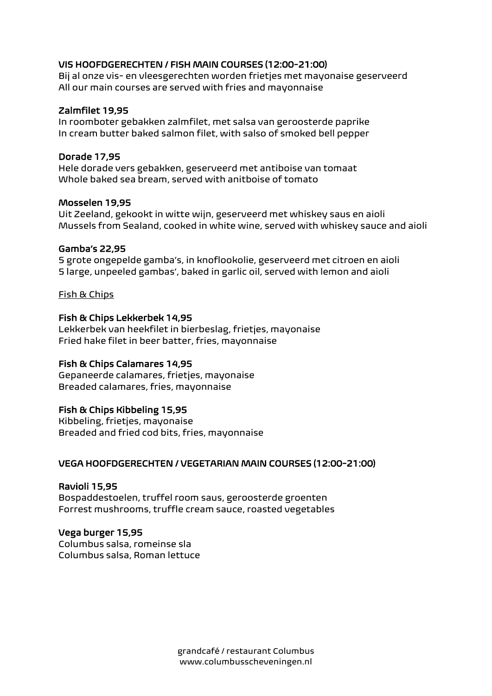# VIS HOOFDGERECHTEN / FISH MAIN COURSES (12:00-21:00)

Bij al onze vis- en vleesgerechten worden frietjes met mayonaise geserveerd All our main courses are served with fries and mayonnaise

# Zalmfilet 19,95

In roomboter gebakken zalmfilet, met salsa van geroosterde paprike In cream butter baked salmon filet, with salso of smoked bell pepper

## Dorade 17,95

Hele dorade vers gebakken, geserveerd met antiboise van tomaat Whole baked sea bream, served with anitboise of tomato

## Mosselen 19,95

Uit Zeeland, gekookt in witte wijn, geserveerd met whiskey saus en aioli Mussels from Sealand, cooked in white wine, served with whiskey sauce and aioli

## Gamba's 22,95

5 grote ongepelde gamba's, in knoflookolie, geserveerd met citroen en aioli 5 large, unpeeled gambas', baked in garlic oil, served with lemon and aioli

## Fish & Chips

## Fish & Chips Lekkerbek 14,95

Lekkerbek van heekfilet in bierbeslag, frietjes, mayonaise Fried hake filet in beer batter, fries, mayonnaise

# Fish & Chips Calamares 14,95

Gepaneerde calamares, frietjes, mayonaise Breaded calamares, fries, mayonnaise

# Fish & Chips Kibbeling 15,95

Kibbeling, frietjes, mayonaise Breaded and fried cod bits, fries, mayonnaise

# VEGA HOOFDGERECHTEN / VEGETARIAN MAIN COURSES (12:00-21:00)

# Ravioli 15,95

Bospaddestoelen, truffel room saus, geroosterde groenten Forrest mushrooms, truffle cream sauce, roasted vegetables

#### Vega burger 15,95

Columbus salsa, romeinse sla Columbus salsa, Roman lettuce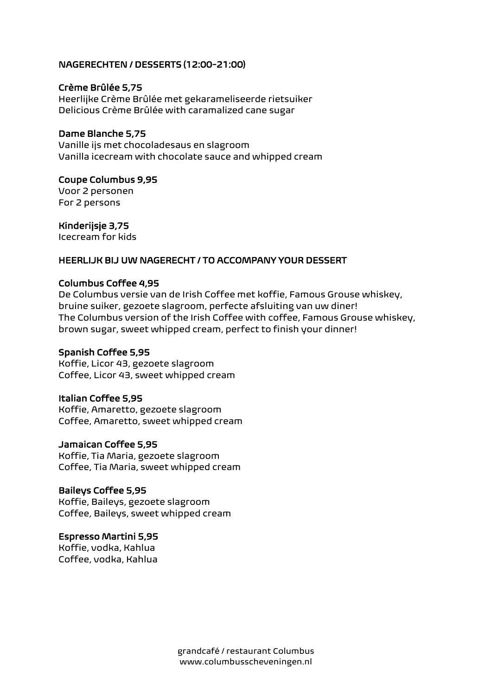## NAGERECHTEN / DESSERTS (12:00-21:00)

#### Crème Brûlée 5,75

Heerlijke Crème Brûlée met gekarameliseerde rietsuiker Delicious Crème Brûlée with caramalized cane sugar

### Dame Blanche 5,75

Vanille ijs met chocoladesaus en slagroom Vanilla icecream with chocolate sauce and whipped cream

#### Coupe Columbus 9,95

Voor 2 personen For 2 persons

#### Kinderijsje 3,75

Icecream for kids

#### HEERLIJK BIJ UW NAGERECHT / TO ACCOMPANY YOUR DESSERT

#### Columbus Coffee 4,95

De Columbus versie van de Irish Coffee met koffie, Famous Grouse whiskey, bruine suiker, gezoete slagroom, perfecte afsluiting van uw diner! The Columbus version of the Irish Coffee with coffee, Famous Grouse whiskey, brown sugar, sweet whipped cream, perfect to finish your dinner!

#### Spanish Coffee 5,95

Koffie, Licor 43, gezoete slagroom Coffee, Licor 43, sweet whipped cream

#### Italian Coffee 5,95

Koffie, Amaretto, gezoete slagroom Coffee, Amaretto, sweet whipped cream

## Jamaican Coffee 5,95

Koffie, Tia Maria, gezoete slagroom Coffee, Tia Maria, sweet whipped cream

## Baileys Coffee 5,95

Koffie, Baileys, gezoete slagroom Coffee, Baileys, sweet whipped cream

#### Espresso Martini 5,95

Koffie, vodka, Kahlua Coffee, vodka, Kahlua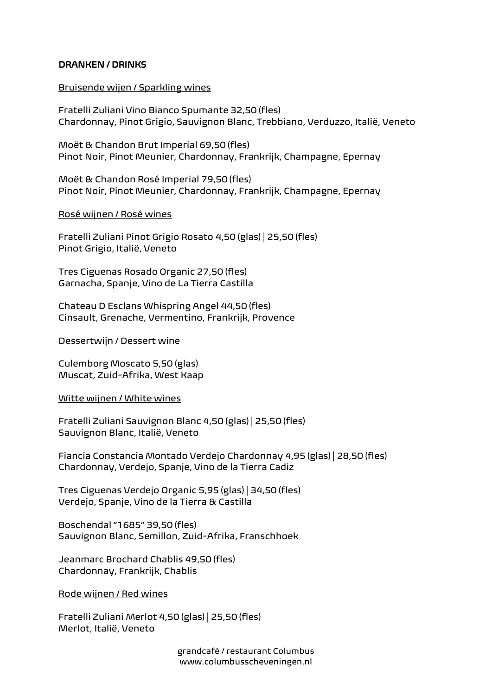## DRANKEN / DRINKS

### Bruisende wijen / Sparkling wines

Fratelli Zuliani Vino Bianco Spumante 32,50 (fles) Chardonnay, Pinot Grigio, Sauvignon Blanc, Trebbiano, Verduzzo, Italië, Veneto

Moët & Chandon Brut Imperial 69,50 (fles) Pinot Noir, Pinot Meunier, Chardonnay, Frankrijk, Champagne, Epernay

Moët & Chandon Rosé Imperial 79,50 (fles) Pinot Noir, Pinot Meunier, Chardonnay, Frankrijk, Champagne, Epernay

#### Rosé wijnen / Rosé wines

Fratelli Zuliani Pinot Grigio Rosato 4,50 (glas) | 25,50 (fles) Pinot Grigio, Italië, Veneto

Tres Ciguenas Rosado Organic 27,50 (fles) Garnacha, Spanje, Vino de La Tierra Castilla

Chateau D Esclans Whispring Angel 44,50 (fles) Cinsault, Grenache, Vermentino, Frankrijk, Provence

#### Dessertwijn / Dessert wine

Culemborg Moscato 5,50 (glas) Muscat, Zuid-Afrika, West Kaap

#### Witte wijnen / White wines

Fratelli Zuliani Sauvignon Blanc 4,50 (glas) | 25,50 (fles) Sauvignon Blanc, Italië, Veneto

Fiancia Constancia Montado Verdejo Chardonnay 4,95 (glas) | 28,50 (fles) Chardonnay, Verdejo, Spanje, Vino de la Tierra Cadiz

Tres Ciguenas Verdejo Organic 5,95 (glas) | 34,50 (fles) Verdejo, Spanje, Vino de la Tierra & Castilla

Boschendal "1685" 39,50 (fles) Sauvignon Blanc, Semillon, Zuid-Afrika, Franschhoek

Jeanmarc Brochard Chablis 49,50 (fles) Chardonnay, Frankrijk, Chablis

Rode wijnen / Red wines

Fratelli Zuliani Merlot 4,50 (glas) | 25,50 (fles) Merlot, Italië, Veneto

> grandcafé / restaurant Columbus www.columbusscheveningen.nl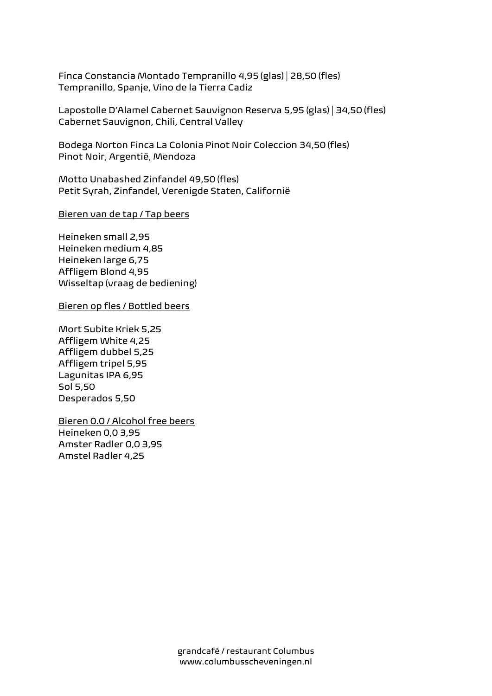Finca Constancia Montado Tempranillo 4,95 (glas) | 28,50 (fles) Tempranillo, Spanje, Vino de la Tierra Cadiz

Lapostolle D'Alamel Cabernet Sauvignon Reserva 5,95 (glas) | 34,50 (fles) Cabernet Sauvignon, Chili, Central Valley

Bodega Norton Finca La Colonia Pinot Noir Coleccion 34,50 (fles) Pinot Noir, Argentië, Mendoza

Motto Unabashed Zinfandel 49,50 (fles) Petit Syrah, Zinfandel, Verenigde Staten, Californië

Bieren van de tap / Tap beers

Heineken small 2,95 Heineken medium 4,85 Heineken large 6,75 Affligem Blond 4,95 Wisseltap (vraag de bediening)

Bieren op fles / Bottled beers

Mort Subite Kriek 5,25 Affligem White 4,25 Affligem dubbel 5,25 Affligem tripel 5,95 Lagunitas IPA 6,95 Sol 5,50 Desperados 5,50

Bieren 0.0 / Alcohol free beers Heineken 0,0 3,95 Amster Radler 0,0 3,95 Amstel Radler 4,25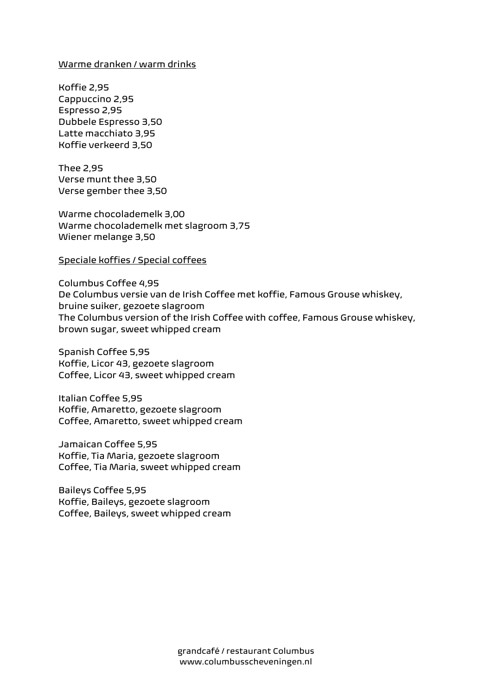#### Warme dranken / warm drinks

Koffie 2,95 Cappuccino 2,95 Espresso 2,95 Dubbele Espresso 3,50 Latte macchiato 3,95 Koffie verkeerd 3,50

Thee 2,95 Verse munt thee 3,50 Verse gember thee 3,50

Warme chocolademelk 3,00 Warme chocolademelk met slagroom 3,75 Wiener melange 3,50

#### Speciale koffies / Special coffees

Columbus Coffee 4,95 De Columbus versie van de Irish Coffee met koffie, Famous Grouse whiskey, bruine suiker, gezoete slagroom The Columbus version of the Irish Coffee with coffee, Famous Grouse whiskey, brown sugar, sweet whipped cream

Spanish Coffee 5,95 Koffie, Licor 43, gezoete slagroom Coffee, Licor 43, sweet whipped cream

Italian Coffee 5,95 Koffie, Amaretto, gezoete slagroom Coffee, Amaretto, sweet whipped cream

Jamaican Coffee 5,95 Koffie, Tia Maria, gezoete slagroom Coffee, Tia Maria, sweet whipped cream

Baileys Coffee 5,95 Koffie, Baileys, gezoete slagroom Coffee, Baileys, sweet whipped cream